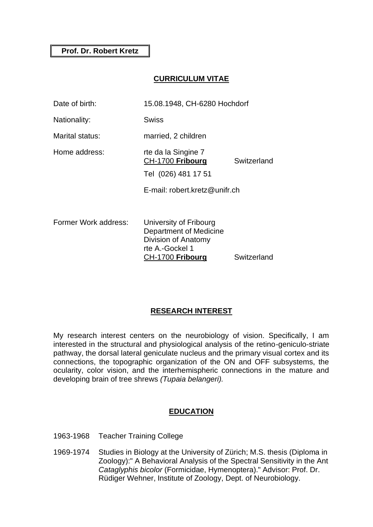## **CURRICULUM VITAE**

| Date of birth:       | 15.08.1948, CH-6280 Hochdorf                                                                                   |             |
|----------------------|----------------------------------------------------------------------------------------------------------------|-------------|
| Nationality:         | Swiss                                                                                                          |             |
| Marital status:      | married, 2 children                                                                                            |             |
| Home address:        | rte da la Singine 7<br>CH-1700 Fribourg<br>Tel (026) 481 17 51                                                 | Switzerland |
|                      | E-mail: robert.kretz@unifr.ch                                                                                  |             |
| Former Work address: | University of Fribourg<br>Department of Medicine<br>Division of Anatomy<br>rte A.-Gockel 1<br>CH-1700 Fribourg | Switzerland |

# **RESEARCH INTEREST**

My research interest centers on the neurobiology of vision. Specifically, I am interested in the structural and physiological analysis of the retino-geniculo-striate pathway, the dorsal lateral geniculate nucleus and the primary visual cortex and its connections, the topographic organization of the ON and OFF subsystems, the ocularity, color vision, and the interhemispheric connections in the mature and developing brain of tree shrews *(Tupaia belangeri).*

## **EDUCATION**

- 1963-1968 Teacher Training College
- 1969-1974 Studies in Biology at the University of Zürich; M.S. thesis (Diploma in Zoology):" A Behavioral Analysis of the Spectral Sensitivity in the Ant *Cataglyphis bicolor* (Formicidae, Hymenoptera)." Advisor: Prof. Dr. Rüdiger Wehner, Institute of Zoology, Dept. of Neurobiology.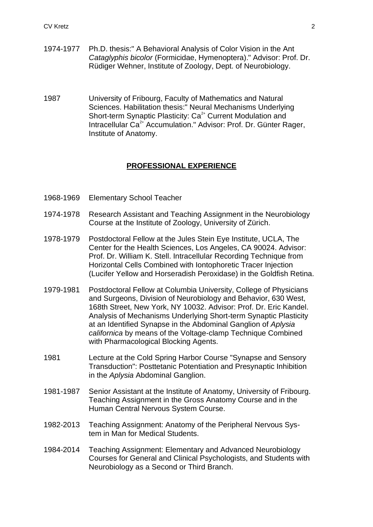- 1974-1977 Ph.D. thesis:" A Behavioral Analysis of Color Vision in the Ant *Cataglyphis bicolor* (Formicidae, Hymenoptera)." Advisor: Prof. Dr. Rüdiger Wehner, Institute of Zoology, Dept. of Neurobiology.
- 1987 University of Fribourg, Faculty of Mathematics and Natural Sciences. Habilitation thesis:" Neural Mechanisms Underlying Short-term Synaptic Plasticity: Ca<sup>2+</sup> Current Modulation and Intracellular  $Ca<sup>2+</sup>$  Accumulation." Advisor: Prof. Dr. Günter Rager, Institute of Anatomy.

#### **PROFESSIONAL EXPERIENCE**

- 1968-1969 Elementary School Teacher
- 1974-1978 Research Assistant and Teaching Assignment in the Neurobiology Course at the Institute of Zoology, University of Zürich.
- 1978-1979 Postdoctoral Fellow at the Jules Stein Eye Institute, UCLA, The Center for the Health Sciences, Los Angeles, CA 90024. Advisor: Prof. Dr. William K. Stell. Intracellular Recording Technique from Horizontal Cells Combined with Iontophoretic Tracer Injection (Lucifer Yellow and Horseradish Peroxidase) in the Goldfish Retina.
- 1979-1981 Postdoctoral Fellow at Columbia University, College of Physicians and Surgeons, Division of Neurobiology and Behavior, 630 West, 168th Street, New York, NY 10032. Advisor: Prof. Dr. Eric Kandel. Analysis of Mechanisms Underlying Short-term Synaptic Plasticity at an Identified Synapse in the Abdominal Ganglion of *Aplysia californica* by means of the Voltage-clamp Technique Combined with Pharmacological Blocking Agents.
- 1981 Lecture at the Cold Spring Harbor Course "Synapse and Sensory Transduction": Posttetanic Potentiation and Presynaptic Inhibition in the *Aplysia* Abdominal Ganglion.
- 1981-1987 Senior Assistant at the Institute of Anatomy, University of Fribourg. Teaching Assignment in the Gross Anatomy Course and in the Human Central Nervous System Course.
- 1982-2013 Teaching Assignment: Anatomy of the Peripheral Nervous System in Man for Medical Students.
- 1984-2014 Teaching Assignment: Elementary and Advanced Neurobiology Courses for General and Clinical Psychologists, and Students with Neurobiology as a Second or Third Branch.